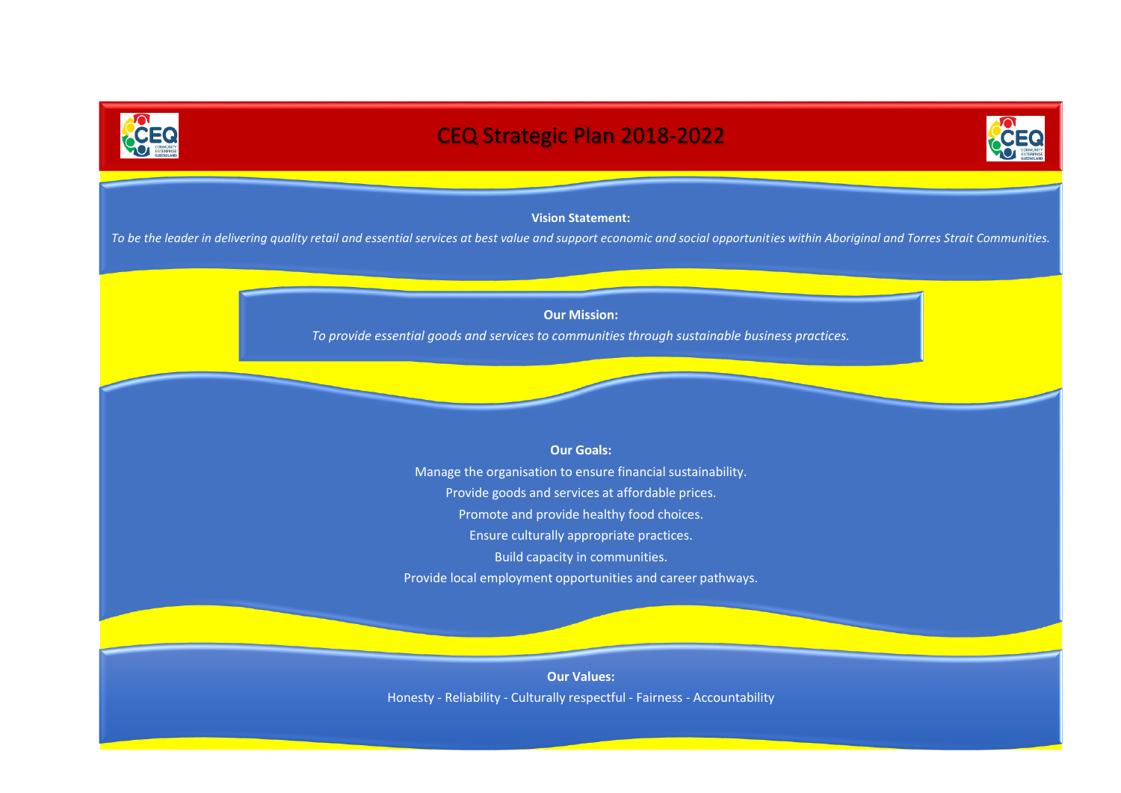

# CEQ Strategic Plan 2018-2022



# **Vision Statement:**

*To be the leader in delivering quality retail and essential services at best value and support economic and social opportunities within Aboriginal and Torres Strait Communities.*

**Our Mission:**

*To provide essential goods and services to communities through sustainable business practices.*

# **Our Goals:**

Manage the organisation to ensure financial sustainability. Provide goods and services at affordable prices. Promote and provide healthy food choices. Ensure culturally appropriate practices. Build capacity in communities. Provide local employment opportunities and career pathways.

**Our Values:** Honesty - Reliability - Culturally respectful - Fairness - Accountability